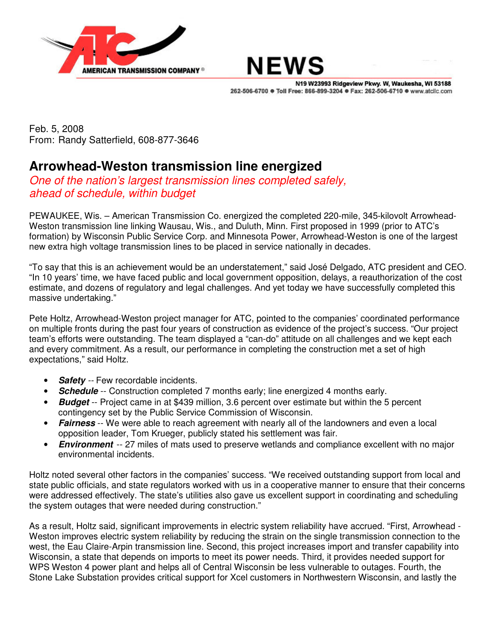



N19 W23993 Ridgeview Pkwy. W, Waukesha, WI 53188 262-506-6700 · Toll Free: 866-899-3204 · Fax: 262-506-6710 · www.atclic.com

Feb. 5, 2008 From: Randy Satterfield, 608-877-3646

## **Arrowhead-Weston transmission line energized**

*One of the nation's largest transmission lines completed safely, ahead of schedule, within budget*

PEWAUKEE, Wis. – American Transmission Co. energized the completed 220-mile, 345-kilovolt Arrowhead-Weston transmission line linking Wausau, Wis., and Duluth, Minn. First proposed in 1999 (prior to ATC's formation) by Wisconsin Public Service Corp. and Minnesota Power, Arrowhead-Weston is one of the largest new extra high voltage transmission lines to be placed in service nationally in decades.

"To say that this is an achievement would be an understatement," said José Delgado, ATC president and CEO. "In 10 years' time, we have faced public and local government opposition, delays, a reauthorization of the cost estimate, and dozens of regulatory and legal challenges. And yet today we have successfully completed this massive undertaking."

Pete Holtz, Arrowhead-Weston project manager for ATC, pointed to the companies' coordinated performance on multiple fronts during the past four years of construction as evidence of the project's success. "Our project team's efforts were outstanding. The team displayed a "can-do" attitude on all challenges and we kept each and every commitment. As a result, our performance in completing the construction met a set of high expectations," said Holtz.

- **Safety** -- Few recordable incidents.
- **Schedule** -- Construction completed 7 months early; line energized 4 months early.
- *Budget* -- Project came in at \$439 million, 3.6 percent over estimate but within the 5 percent contingency set by the Public Service Commission of Wisconsin.
- **Fairness** -- We were able to reach agreement with nearly all of the landowners and even a local opposition leader, Tom Krueger, publicly stated his settlement was fair.
- *Environment* -- 27 miles of mats used to preserve wetlands and compliance excellent with no major environmental incidents.

Holtz noted several other factors in the companies' success. "We received outstanding support from local and state public officials, and state regulators worked with us in a cooperative manner to ensure that their concerns were addressed effectively. The state's utilities also gave us excellent support in coordinating and scheduling the system outages that were needed during construction."

As a result, Holtz said, significant improvements in electric system reliability have accrued. "First, Arrowhead - Weston improves electric system reliability by reducing the strain on the single transmission connection to the west, the Eau Claire-Arpin transmission line. Second, this project increases import and transfer capability into Wisconsin, a state that depends on imports to meet its power needs. Third, it provides needed support for WPS Weston 4 power plant and helps all of Central Wisconsin be less vulnerable to outages. Fourth, the Stone Lake Substation provides critical support for Xcel customers in Northwestern Wisconsin, and lastly the